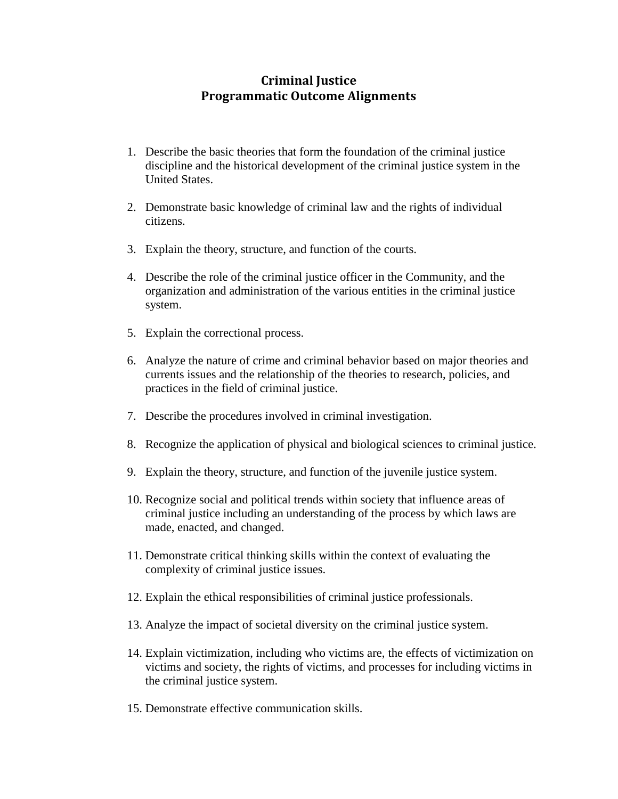## **Criminal Justice Programmatic Outcome Alignments**

- 1. Describe the basic theories that form the foundation of the criminal justice discipline and the historical development of the criminal justice system in the United States.
- 2. Demonstrate basic knowledge of criminal law and the rights of individual citizens.
- 3. Explain the theory, structure, and function of the courts.
- 4. Describe the role of the criminal justice officer in the Community, and the organization and administration of the various entities in the criminal justice system.
- 5. Explain the correctional process.
- 6. Analyze the nature of crime and criminal behavior based on major theories and currents issues and the relationship of the theories to research, policies, and practices in the field of criminal justice.
- 7. Describe the procedures involved in criminal investigation.
- 8. Recognize the application of physical and biological sciences to criminal justice.
- 9. Explain the theory, structure, and function of the juvenile justice system.
- 10. Recognize social and political trends within society that influence areas of criminal justice including an understanding of the process by which laws are made, enacted, and changed.
- 11. Demonstrate critical thinking skills within the context of evaluating the complexity of criminal justice issues.
- 12. Explain the ethical responsibilities of criminal justice professionals.
- 13. Analyze the impact of societal diversity on the criminal justice system.
- 14. Explain victimization, including who victims are, the effects of victimization on victims and society, the rights of victims, and processes for including victims in the criminal justice system.
- 15. Demonstrate effective communication skills.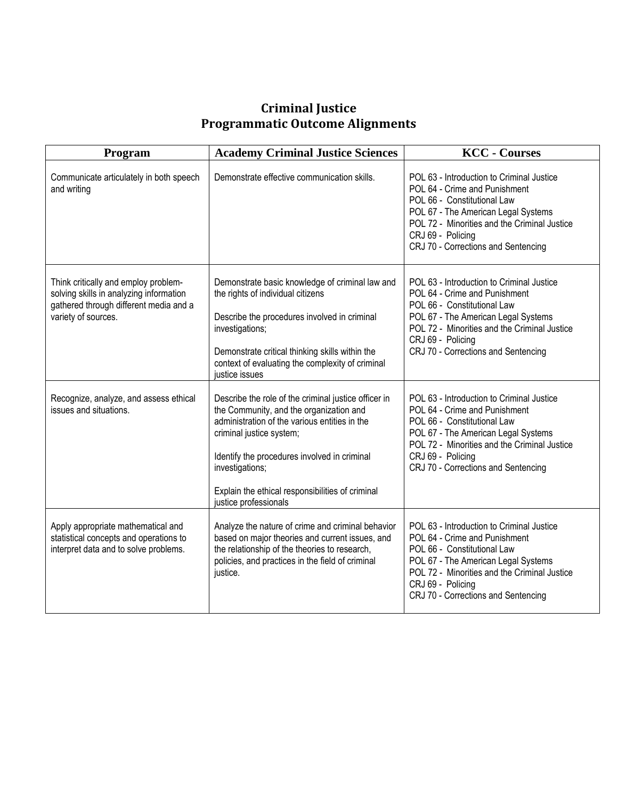## **Criminal Justice Programmatic Outcome Alignments**

| Program                                                                                                                                          | <b>Academy Criminal Justice Sciences</b>                                                                                                                                                                                                                                                                                     | <b>KCC</b> - Courses                                                                                                                                                                                                                                         |
|--------------------------------------------------------------------------------------------------------------------------------------------------|------------------------------------------------------------------------------------------------------------------------------------------------------------------------------------------------------------------------------------------------------------------------------------------------------------------------------|--------------------------------------------------------------------------------------------------------------------------------------------------------------------------------------------------------------------------------------------------------------|
| Communicate articulately in both speech<br>and writing                                                                                           | Demonstrate effective communication skills.                                                                                                                                                                                                                                                                                  | POL 63 - Introduction to Criminal Justice<br>POL 64 - Crime and Punishment<br>POL 66 - Constitutional Law<br>POL 67 - The American Legal Systems<br>POL 72 - Minorities and the Criminal Justice<br>CRJ 69 - Policing<br>CRJ 70 - Corrections and Sentencing |
| Think critically and employ problem-<br>solving skills in analyzing information<br>gathered through different media and a<br>variety of sources. | Demonstrate basic knowledge of criminal law and<br>the rights of individual citizens<br>Describe the procedures involved in criminal<br>investigations;<br>Demonstrate critical thinking skills within the<br>context of evaluating the complexity of criminal<br>justice issues                                             | POL 63 - Introduction to Criminal Justice<br>POL 64 - Crime and Punishment<br>POL 66 - Constitutional Law<br>POL 67 - The American Legal Systems<br>POL 72 - Minorities and the Criminal Justice<br>CRJ 69 - Policing<br>CRJ 70 - Corrections and Sentencing |
| Recognize, analyze, and assess ethical<br>issues and situations.                                                                                 | Describe the role of the criminal justice officer in<br>the Community, and the organization and<br>administration of the various entities in the<br>criminal justice system;<br>Identify the procedures involved in criminal<br>investigations;<br>Explain the ethical responsibilities of criminal<br>justice professionals | POL 63 - Introduction to Criminal Justice<br>POL 64 - Crime and Punishment<br>POL 66 - Constitutional Law<br>POL 67 - The American Legal Systems<br>POL 72 - Minorities and the Criminal Justice<br>CRJ 69 - Policing<br>CRJ 70 - Corrections and Sentencing |
| Apply appropriate mathematical and<br>statistical concepts and operations to<br>interpret data and to solve problems.                            | Analyze the nature of crime and criminal behavior<br>based on major theories and current issues, and<br>the relationship of the theories to research,<br>policies, and practices in the field of criminal<br>justice.                                                                                                        | POL 63 - Introduction to Criminal Justice<br>POL 64 - Crime and Punishment<br>POL 66 - Constitutional Law<br>POL 67 - The American Legal Systems<br>POL 72 - Minorities and the Criminal Justice<br>CRJ 69 - Policing<br>CRJ 70 - Corrections and Sentencing |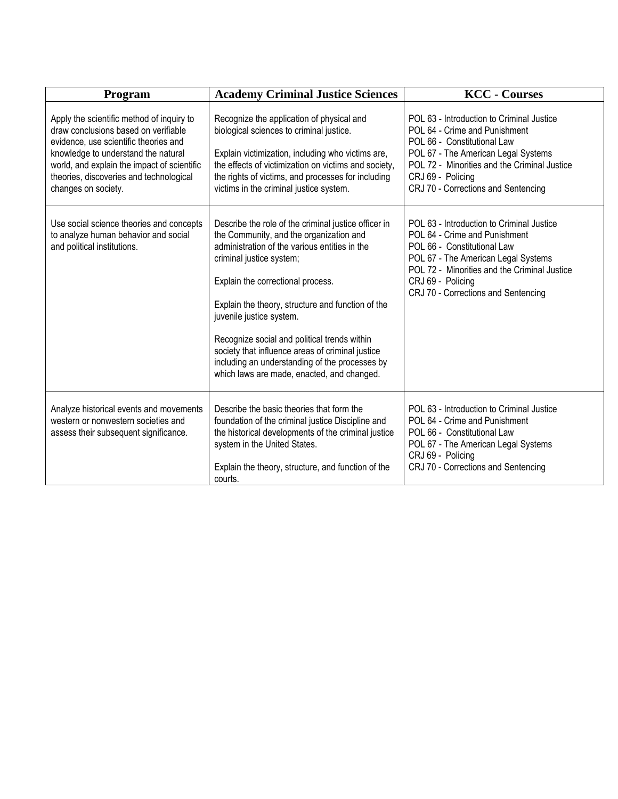| Program                                                                                                                                                                                                                                                                            | <b>Academy Criminal Justice Sciences</b>                                                                                                                                                                                                                                                                                                                                                                                                                                                               | <b>KCC</b> - Courses                                                                                                                                                                                                                                         |
|------------------------------------------------------------------------------------------------------------------------------------------------------------------------------------------------------------------------------------------------------------------------------------|--------------------------------------------------------------------------------------------------------------------------------------------------------------------------------------------------------------------------------------------------------------------------------------------------------------------------------------------------------------------------------------------------------------------------------------------------------------------------------------------------------|--------------------------------------------------------------------------------------------------------------------------------------------------------------------------------------------------------------------------------------------------------------|
| Apply the scientific method of inquiry to<br>draw conclusions based on verifiable<br>evidence, use scientific theories and<br>knowledge to understand the natural<br>world, and explain the impact of scientific<br>theories, discoveries and technological<br>changes on society. | Recognize the application of physical and<br>biological sciences to criminal justice.<br>Explain victimization, including who victims are,<br>the effects of victimization on victims and society,<br>the rights of victims, and processes for including<br>victims in the criminal justice system.                                                                                                                                                                                                    | POL 63 - Introduction to Criminal Justice<br>POL 64 - Crime and Punishment<br>POL 66 - Constitutional Law<br>POL 67 - The American Legal Systems<br>POL 72 - Minorities and the Criminal Justice<br>CRJ 69 - Policing<br>CRJ 70 - Corrections and Sentencing |
| Use social science theories and concepts<br>to analyze human behavior and social<br>and political institutions.                                                                                                                                                                    | Describe the role of the criminal justice officer in<br>the Community, and the organization and<br>administration of the various entities in the<br>criminal justice system;<br>Explain the correctional process.<br>Explain the theory, structure and function of the<br>juvenile justice system.<br>Recognize social and political trends within<br>society that influence areas of criminal justice<br>including an understanding of the processes by<br>which laws are made, enacted, and changed. | POL 63 - Introduction to Criminal Justice<br>POL 64 - Crime and Punishment<br>POL 66 - Constitutional Law<br>POL 67 - The American Legal Systems<br>POL 72 - Minorities and the Criminal Justice<br>CRJ 69 - Policing<br>CRJ 70 - Corrections and Sentencing |
| Analyze historical events and movements<br>western or nonwestern societies and<br>assess their subsequent significance.                                                                                                                                                            | Describe the basic theories that form the<br>foundation of the criminal justice Discipline and<br>the historical developments of the criminal justice<br>system in the United States.<br>Explain the theory, structure, and function of the<br>courts.                                                                                                                                                                                                                                                 | POL 63 - Introduction to Criminal Justice<br>POL 64 - Crime and Punishment<br>POL 66 - Constitutional Law<br>POL 67 - The American Legal Systems<br>CRJ 69 - Policing<br>CRJ 70 - Corrections and Sentencing                                                 |